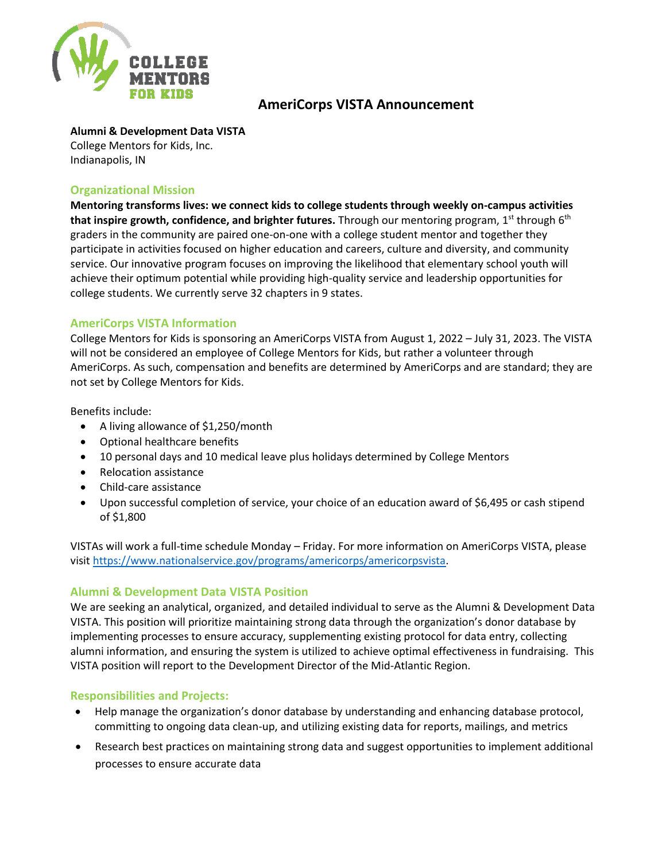

# **AmeriCorps VISTA Announcement**

#### **Alumni & Development Data VISTA**

College Mentors for Kids, Inc. Indianapolis, IN

### **Organizational Mission**

**Mentoring transforms lives: we connect kids to college students through weekly on-campus activities that inspire growth, confidence, and brighter futures.** Through our mentoring program, 1<sup>st</sup> through 6<sup>th</sup> graders in the community are paired one-on-one with a college student mentor and together they participate in activities focused on higher education and careers, culture and diversity, and community service. Our innovative program focuses on improving the likelihood that elementary school youth will achieve their optimum potential while providing high-quality service and leadership opportunities for college students. We currently serve 32 chapters in 9 states.

## **AmeriCorps VISTA Information**

College Mentors for Kids is sponsoring an AmeriCorps VISTA from August 1, 2022 – July 31, 2023. The VISTA will not be considered an employee of College Mentors for Kids, but rather a volunteer through AmeriCorps. As such, compensation and benefits are determined by AmeriCorps and are standard; they are not set by College Mentors for Kids.

Benefits include:

- A living allowance of \$1,250/month
- Optional healthcare benefits
- 10 personal days and 10 medical leave plus holidays determined by College Mentors
- Relocation assistance
- Child-care assistance
- Upon successful completion of service, your choice of an education award of \$6,495 or cash stipend of \$1,800

VISTAs will work a full-time schedule Monday – Friday. For more information on AmeriCorps VISTA, please visit [https://www.nationalservice.gov/programs/americorps/americorpsvista.](https://www.nationalservice.gov/programs/americorps/americorpsvista)

## **Alumni & Development Data VISTA Position**

We are seeking an analytical, organized, and detailed individual to serve as the Alumni & Development Data VISTA. This position will prioritize maintaining strong data through the organization's donor database by implementing processes to ensure accuracy, supplementing existing protocol for data entry, collecting alumni information, and ensuring the system is utilized to achieve optimal effectiveness in fundraising. This VISTA position will report to the Development Director of the Mid-Atlantic Region.

### **Responsibilities and Projects:**

- Help manage the organization's donor database by understanding and enhancing database protocol, committing to ongoing data clean-up, and utilizing existing data for reports, mailings, and metrics
- Research best practices on maintaining strong data and suggest opportunities to implement additional processes to ensure accurate data